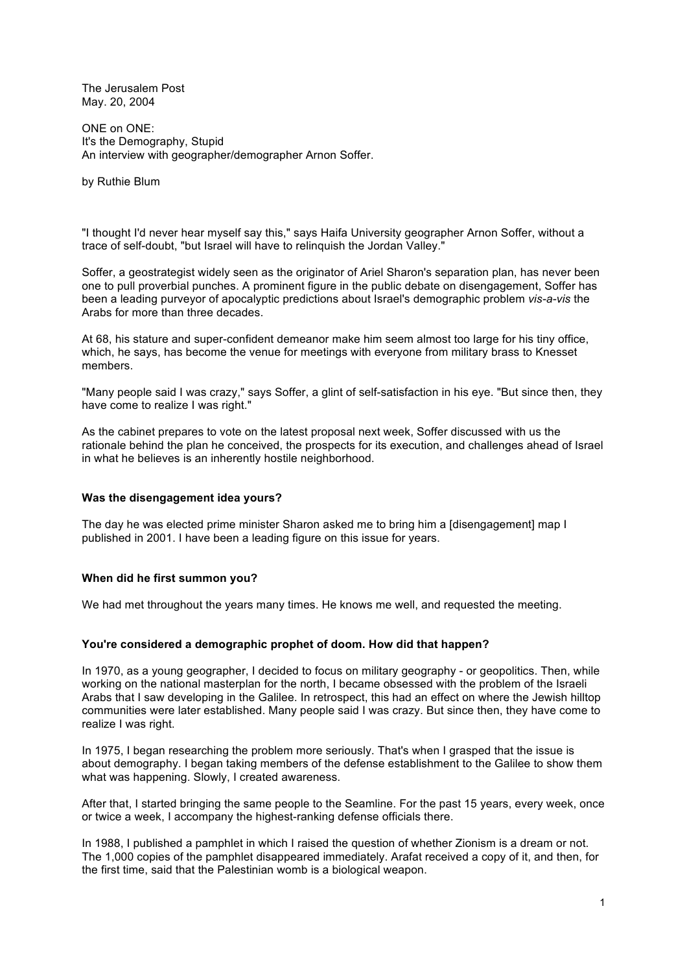The Jerusalem Post May. 20, 2004

ONE on ONE: It's the Demography, Stupid An interview with geographer/demographer Arnon Soffer.

by Ruthie Blum

"I thought I'd never hear myself say this," says Haifa University geographer Arnon Soffer, without a trace of self-doubt, "but Israel will have to relinquish the Jordan Valley."

Soffer, a geostrategist widely seen as the originator of Ariel Sharon's separation plan, has never been one to pull proverbial punches. A prominent figure in the public debate on disengagement, Soffer has been a leading purveyor of apocalyptic predictions about Israel's demographic problem *vis-a-vis* the Arabs for more than three decades.

At 68, his stature and super-confident demeanor make him seem almost too large for his tiny office, which, he says, has become the venue for meetings with everyone from military brass to Knesset members.

"Many people said I was crazy," says Soffer, a glint of self-satisfaction in his eye. "But since then, they have come to realize I was right."

As the cabinet prepares to vote on the latest proposal next week, Soffer discussed with us the rationale behind the plan he conceived, the prospects for its execution, and challenges ahead of Israel in what he believes is an inherently hostile neighborhood.

# **Was the disengagement idea yours?**

The day he was elected prime minister Sharon asked me to bring him a [disengagement] map I published in 2001. I have been a leading figure on this issue for years.

# **When did he first summon you?**

We had met throughout the years many times. He knows me well, and requested the meeting.

#### **You're considered a demographic prophet of doom. How did that happen?**

In 1970, as a young geographer, I decided to focus on military geography - or geopolitics. Then, while working on the national masterplan for the north, I became obsessed with the problem of the Israeli Arabs that I saw developing in the Galilee. In retrospect, this had an effect on where the Jewish hilltop communities were later established. Many people said I was crazy. But since then, they have come to realize I was right.

In 1975, I began researching the problem more seriously. That's when I grasped that the issue is about demography. I began taking members of the defense establishment to the Galilee to show them what was happening. Slowly, I created awareness.

After that, I started bringing the same people to the Seamline. For the past 15 years, every week, once or twice a week, I accompany the highest-ranking defense officials there.

In 1988, I published a pamphlet in which I raised the question of whether Zionism is a dream or not. The 1,000 copies of the pamphlet disappeared immediately. Arafat received a copy of it, and then, for the first time, said that the Palestinian womb is a biological weapon.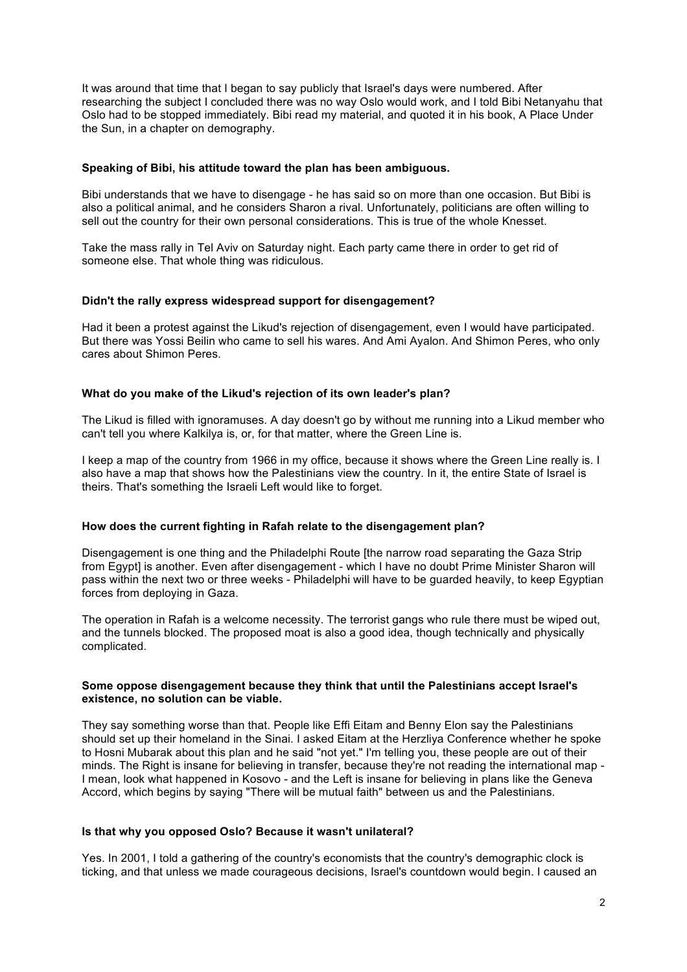It was around that time that I began to say publicly that Israel's days were numbered. After researching the subject I concluded there was no way Oslo would work, and I told Bibi Netanyahu that Oslo had to be stopped immediately. Bibi read my material, and quoted it in his book, A Place Under the Sun, in a chapter on demography.

### **Speaking of Bibi, his attitude toward the plan has been ambiguous.**

Bibi understands that we have to disengage - he has said so on more than one occasion. But Bibi is also a political animal, and he considers Sharon a rival. Unfortunately, politicians are often willing to sell out the country for their own personal considerations. This is true of the whole Knesset.

Take the mass rally in Tel Aviv on Saturday night. Each party came there in order to get rid of someone else. That whole thing was ridiculous.

#### **Didn't the rally express widespread support for disengagement?**

Had it been a protest against the Likud's rejection of disengagement, even I would have participated. But there was Yossi Beilin who came to sell his wares. And Ami Ayalon. And Shimon Peres, who only cares about Shimon Peres.

#### **What do you make of the Likud's rejection of its own leader's plan?**

The Likud is filled with ignoramuses. A day doesn't go by without me running into a Likud member who can't tell you where Kalkilya is, or, for that matter, where the Green Line is.

I keep a map of the country from 1966 in my office, because it shows where the Green Line really is. I also have a map that shows how the Palestinians view the country. In it, the entire State of Israel is theirs. That's something the Israeli Left would like to forget.

## **How does the current fighting in Rafah relate to the disengagement plan?**

Disengagement is one thing and the Philadelphi Route [the narrow road separating the Gaza Strip from Egypt] is another. Even after disengagement - which I have no doubt Prime Minister Sharon will pass within the next two or three weeks - Philadelphi will have to be guarded heavily, to keep Egyptian forces from deploying in Gaza.

The operation in Rafah is a welcome necessity. The terrorist gangs who rule there must be wiped out, and the tunnels blocked. The proposed moat is also a good idea, though technically and physically complicated.

#### **Some oppose disengagement because they think that until the Palestinians accept Israel's existence, no solution can be viable.**

They say something worse than that. People like Effi Eitam and Benny Elon say the Palestinians should set up their homeland in the Sinai. I asked Eitam at the Herzliya Conference whether he spoke to Hosni Mubarak about this plan and he said "not yet." I'm telling you, these people are out of their minds. The Right is insane for believing in transfer, because they're not reading the international map - I mean, look what happened in Kosovo - and the Left is insane for believing in plans like the Geneva Accord, which begins by saying "There will be mutual faith" between us and the Palestinians.

#### **Is that why you opposed Oslo? Because it wasn't unilateral?**

Yes. In 2001, I told a gathering of the country's economists that the country's demographic clock is ticking, and that unless we made courageous decisions, Israel's countdown would begin. I caused an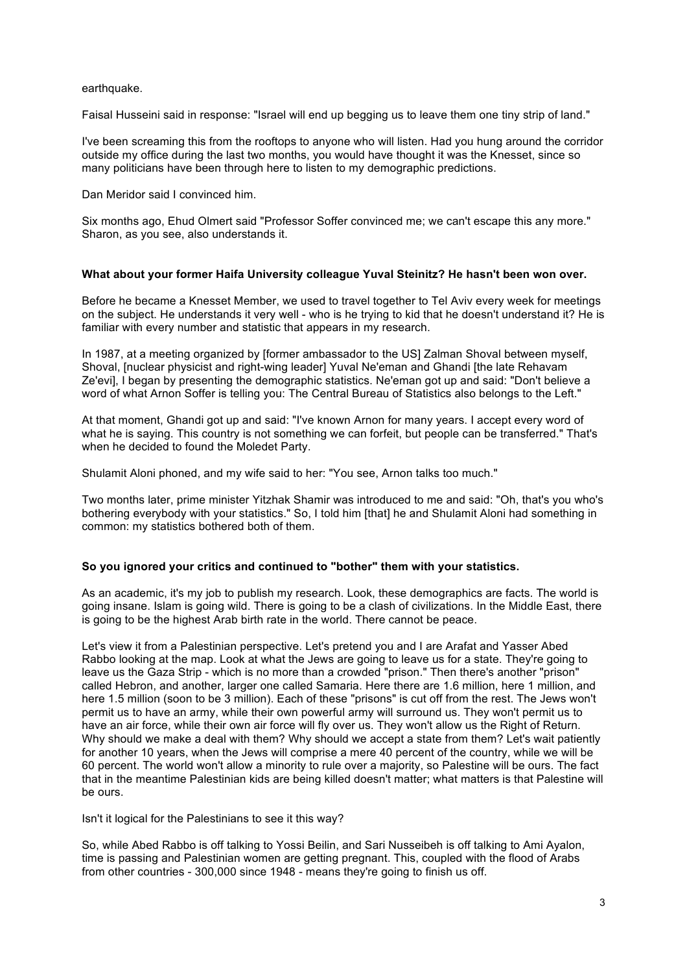## earthquake.

Faisal Husseini said in response: "Israel will end up begging us to leave them one tiny strip of land."

I've been screaming this from the rooftops to anyone who will listen. Had you hung around the corridor outside my office during the last two months, you would have thought it was the Knesset, since so many politicians have been through here to listen to my demographic predictions.

Dan Meridor said I convinced him.

Six months ago, Ehud Olmert said "Professor Soffer convinced me; we can't escape this any more." Sharon, as you see, also understands it.

#### **What about your former Haifa University colleague Yuval Steinitz? He hasn't been won over.**

Before he became a Knesset Member, we used to travel together to Tel Aviv every week for meetings on the subject. He understands it very well - who is he trying to kid that he doesn't understand it? He is familiar with every number and statistic that appears in my research.

In 1987, at a meeting organized by [former ambassador to the US] Zalman Shoval between myself. Shoval, [nuclear physicist and right-wing leader] Yuval Ne'eman and Ghandi [the late Rehavam Ze'evi], I began by presenting the demographic statistics. Ne'eman got up and said: "Don't believe a word of what Arnon Soffer is telling you: The Central Bureau of Statistics also belongs to the Left."

At that moment, Ghandi got up and said: "I've known Arnon for many years. I accept every word of what he is saying. This country is not something we can forfeit, but people can be transferred." That's when he decided to found the Moledet Party.

Shulamit Aloni phoned, and my wife said to her: "You see, Arnon talks too much."

Two months later, prime minister Yitzhak Shamir was introduced to me and said: "Oh, that's you who's bothering everybody with your statistics." So, I told him [that] he and Shulamit Aloni had something in common: my statistics bothered both of them.

## **So you ignored your critics and continued to "bother" them with your statistics.**

As an academic, it's my job to publish my research. Look, these demographics are facts. The world is going insane. Islam is going wild. There is going to be a clash of civilizations. In the Middle East, there is going to be the highest Arab birth rate in the world. There cannot be peace.

Let's view it from a Palestinian perspective. Let's pretend you and I are Arafat and Yasser Abed Rabbo looking at the map. Look at what the Jews are going to leave us for a state. They're going to leave us the Gaza Strip - which is no more than a crowded "prison." Then there's another "prison" called Hebron, and another, larger one called Samaria. Here there are 1.6 million, here 1 million, and here 1.5 million (soon to be 3 million). Each of these "prisons" is cut off from the rest. The Jews won't permit us to have an army, while their own powerful army will surround us. They won't permit us to have an air force, while their own air force will fly over us. They won't allow us the Right of Return. Why should we make a deal with them? Why should we accept a state from them? Let's wait patiently for another 10 years, when the Jews will comprise a mere 40 percent of the country, while we will be 60 percent. The world won't allow a minority to rule over a majority, so Palestine will be ours. The fact that in the meantime Palestinian kids are being killed doesn't matter; what matters is that Palestine will be ours.

Isn't it logical for the Palestinians to see it this way?

So, while Abed Rabbo is off talking to Yossi Beilin, and Sari Nusseibeh is off talking to Ami Ayalon, time is passing and Palestinian women are getting pregnant. This, coupled with the flood of Arabs from other countries - 300,000 since 1948 - means they're going to finish us off.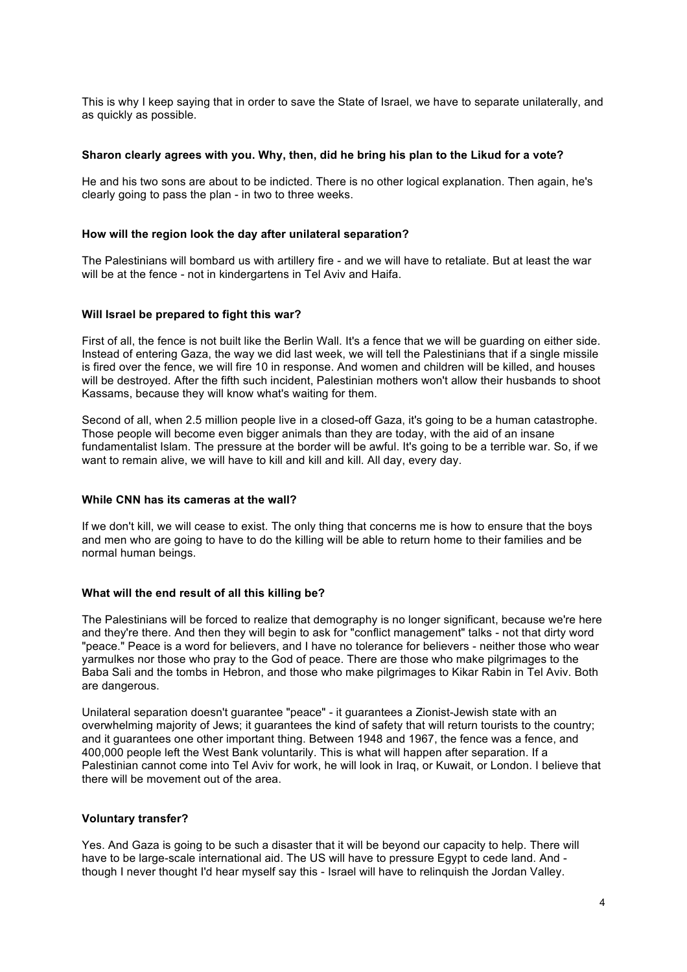This is why I keep saying that in order to save the State of Israel, we have to separate unilaterally, and as quickly as possible.

### **Sharon clearly agrees with you. Why, then, did he bring his plan to the Likud for a vote?**

He and his two sons are about to be indicted. There is no other logical explanation. Then again, he's clearly going to pass the plan - in two to three weeks.

#### **How will the region look the day after unilateral separation?**

The Palestinians will bombard us with artillery fire - and we will have to retaliate. But at least the war will be at the fence - not in kindergartens in Tel Aviv and Haifa.

#### **Will Israel be prepared to fight this war?**

First of all, the fence is not built like the Berlin Wall. It's a fence that we will be guarding on either side. Instead of entering Gaza, the way we did last week, we will tell the Palestinians that if a single missile is fired over the fence, we will fire 10 in response. And women and children will be killed, and houses will be destroyed. After the fifth such incident, Palestinian mothers won't allow their husbands to shoot Kassams, because they will know what's waiting for them.

Second of all, when 2.5 million people live in a closed-off Gaza, it's going to be a human catastrophe. Those people will become even bigger animals than they are today, with the aid of an insane fundamentalist Islam. The pressure at the border will be awful. It's going to be a terrible war. So, if we want to remain alive, we will have to kill and kill and kill. All day, every day.

### **While CNN has its cameras at the wall?**

If we don't kill, we will cease to exist. The only thing that concerns me is how to ensure that the boys and men who are going to have to do the killing will be able to return home to their families and be normal human beings.

## **What will the end result of all this killing be?**

The Palestinians will be forced to realize that demography is no longer significant, because we're here and they're there. And then they will begin to ask for "conflict management" talks - not that dirty word "peace." Peace is a word for believers, and I have no tolerance for believers - neither those who wear yarmulkes nor those who pray to the God of peace. There are those who make pilgrimages to the Baba Sali and the tombs in Hebron, and those who make pilgrimages to Kikar Rabin in Tel Aviv. Both are dangerous.

Unilateral separation doesn't guarantee "peace" - it guarantees a Zionist-Jewish state with an overwhelming majority of Jews; it guarantees the kind of safety that will return tourists to the country; and it guarantees one other important thing. Between 1948 and 1967, the fence was a fence, and 400,000 people left the West Bank voluntarily. This is what will happen after separation. If a Palestinian cannot come into Tel Aviv for work, he will look in Iraq, or Kuwait, or London. I believe that there will be movement out of the area.

# **Voluntary transfer?**

Yes. And Gaza is going to be such a disaster that it will be beyond our capacity to help. There will have to be large-scale international aid. The US will have to pressure Egypt to cede land. And though I never thought I'd hear myself say this - Israel will have to relinquish the Jordan Valley.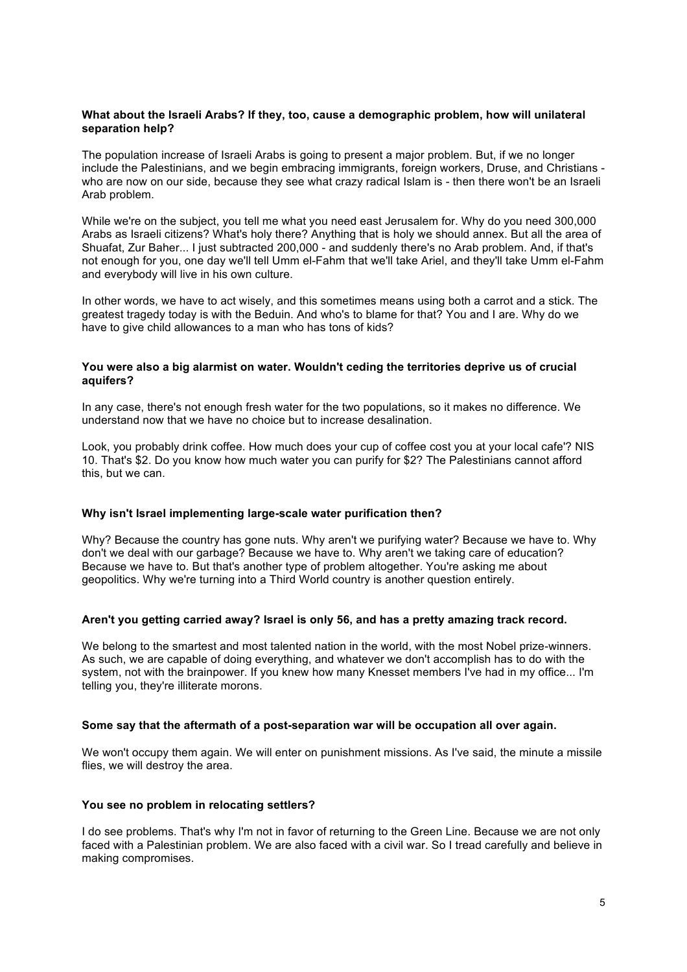## **What about the Israeli Arabs? If they, too, cause a demographic problem, how will unilateral separation help?**

The population increase of Israeli Arabs is going to present a major problem. But, if we no longer include the Palestinians, and we begin embracing immigrants, foreign workers, Druse, and Christians who are now on our side, because they see what crazy radical Islam is - then there won't be an Israeli Arab problem.

While we're on the subject, you tell me what you need east Jerusalem for. Why do you need 300,000 Arabs as Israeli citizens? What's holy there? Anything that is holy we should annex. But all the area of Shuafat, Zur Baher... I just subtracted 200,000 - and suddenly there's no Arab problem. And, if that's not enough for you, one day we'll tell Umm el-Fahm that we'll take Ariel, and they'll take Umm el-Fahm and everybody will live in his own culture.

In other words, we have to act wisely, and this sometimes means using both a carrot and a stick. The greatest tragedy today is with the Beduin. And who's to blame for that? You and I are. Why do we have to give child allowances to a man who has tons of kids?

## **You were also a big alarmist on water. Wouldn't ceding the territories deprive us of crucial aquifers?**

In any case, there's not enough fresh water for the two populations, so it makes no difference. We understand now that we have no choice but to increase desalination.

Look, you probably drink coffee. How much does your cup of coffee cost you at your local cafe'? NIS 10. That's \$2. Do you know how much water you can purify for \$2? The Palestinians cannot afford this, but we can.

## **Why isn't Israel implementing large-scale water purification then?**

Why? Because the country has gone nuts. Why aren't we purifying water? Because we have to. Why don't we deal with our garbage? Because we have to. Why aren't we taking care of education? Because we have to. But that's another type of problem altogether. You're asking me about geopolitics. Why we're turning into a Third World country is another question entirely.

## **Aren't you getting carried away? Israel is only 56, and has a pretty amazing track record.**

We belong to the smartest and most talented nation in the world, with the most Nobel prize-winners. As such, we are capable of doing everything, and whatever we don't accomplish has to do with the system, not with the brainpower. If you knew how many Knesset members I've had in my office... I'm telling you, they're illiterate morons.

## **Some say that the aftermath of a post-separation war will be occupation all over again.**

We won't occupy them again. We will enter on punishment missions. As I've said, the minute a missile flies, we will destroy the area.

## **You see no problem in relocating settlers?**

I do see problems. That's why I'm not in favor of returning to the Green Line. Because we are not only faced with a Palestinian problem. We are also faced with a civil war. So I tread carefully and believe in making compromises.